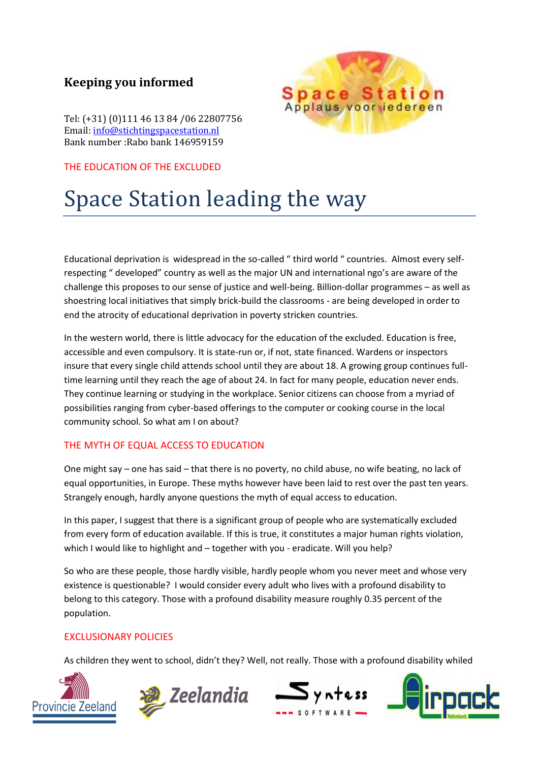Tel: (+31) (0)111 46 13 84 /06 22807756 Email: info@stichtingspacestation.nl Bank number :Rabo bank 146959159

THE EDUCATION OF THE EXCLUDED

# Space Station leading the way

Educational deprivation is widespread in the so-called " third world " countries. Almost every selfrespecting " developed" country as well as the major UN and international ngo's are aware of the challenge this proposes to our sense of justice and well-being. Billion-dollar programmes – as well as shoestring local initiatives that simply brick-build the classrooms - are being developed in order to end the atrocity of educational deprivation in poverty stricken countries.

In the western world, there is little advocacy for the education of the excluded. Education is free, accessible and even compulsory. It is state-run or, if not, state financed. Wardens or inspectors insure that every single child attends school until they are about 18. A growing group continues fulltime learning until they reach the age of about 24. In fact for many people, education never ends. They continue learning or studying in the workplace. Senior citizens can choose from a myriad of possibilities ranging from cyber-based offerings to the computer or cooking course in the local community school. So what am I on about?

### THE MYTH OF EQUAL ACCESS TO EDUCATION

One might say – one has said – that there is no poverty, no child abuse, no wife beating, no lack of equal opportunities, in Europe. These myths however have been laid to rest over the past ten years. Strangely enough, hardly anyone questions the myth of equal access to education.

In this paper, I suggest that there is a significant group of people who are systematically excluded from every form of education available. If this is true, it constitutes a major human rights violation, which I would like to highlight and – together with you - eradicate. Will you help?

So who are these people, those hardly visible, hardly people whom you never meet and whose very existence is questionable? I would consider every adult who lives with a profound disability to belong to this category. Those with a profound disability measure roughly 0.35 percent of the population.

### EXCLUSIONARY POLICIES

As children they went to school, didn't they? Well, not really. Those with a profound disability whiled









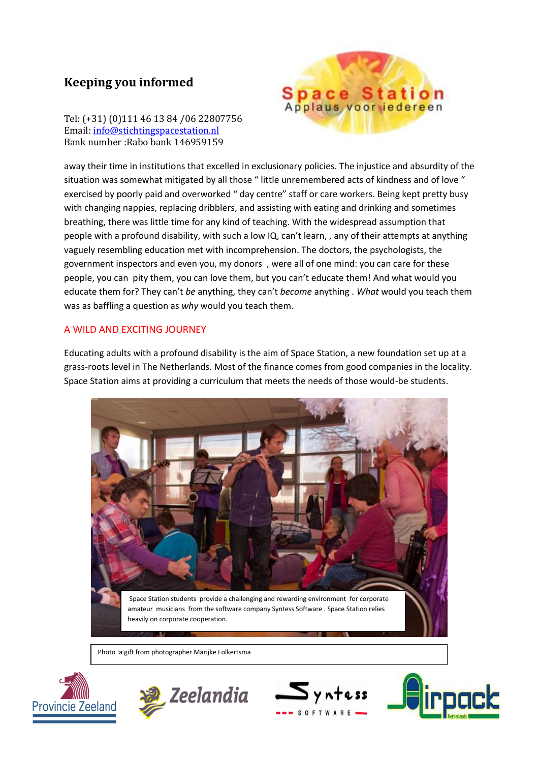Tel: (+31) (0)111 46 13 84 /06 22807756 Email: info@stichtingspacestation.nl Bank number :Rabo bank 146959159



away their time in institutions that excelled in exclusionary policies. The injustice and absurdity of the situation was somewhat mitigated by all those " little unremembered acts of kindness and of love " exercised by poorly paid and overworked " day centre" staff or care workers. Being kept pretty busy with changing nappies, replacing dribblers, and assisting with eating and drinking and sometimes breathing, there was little time for any kind of teaching. With the widespread assumption that people with a profound disability, with such a low IQ, can't learn, , any of their attempts at anything vaguely resembling education met with incomprehension. The doctors, the psychologists, the government inspectors and even you, my donors , were all of one mind: you can care for these people, you can pity them, you can love them, but you can't educate them! And what would you educate them for? They can't *be* anything, they can't *become* anything . *What* would you teach them was as baffling a question as *why* would you teach them.

#### A WILD AND EXCITING JOURNEY

Educating adults with a profound disability is the aim of Space Station, a new foundation set up at a grass-roots level in The Netherlands. Most of the finance comes from good companies in the locality. Space Station aims at providing a curriculum that meets the needs of those would-be students.



Photo :a gift from photographer Marijke Folkertsma





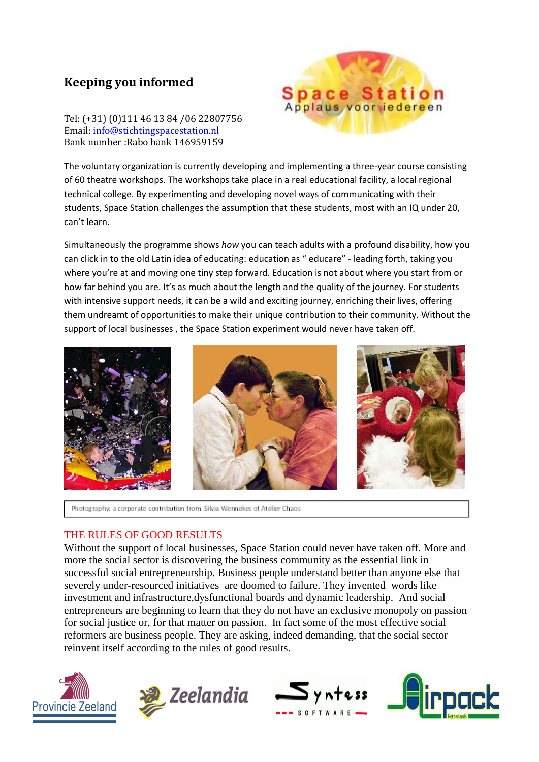Tel: (+31) (0)111 46 13 84 /06 22807756 Email: info@stichtingspacestation.nl Bank number :Rabo bank 146959159



The voluntary organization is currently developing and implementing a three-year course consisting of 60 theatre workshops. The workshops take place in a real educational facility, a local regional technical college. By experimenting and developing novel ways of communicating with their students, Space Station challenges the assumption that these students, most with an IQ under 20, can't learn.

Simultaneously the programme shows *how* you can teach adults with a profound disability, how you can click in to the old Latin idea of educating: education as " educare" - leading forth, taking you where you're at and moving one tiny step forward. Education is not about where you start from or how far behind you are. It's as much about the length and the quality of the journey. For students with intensive support needs, it can be a wild and exciting journey, enriching their lives, offering them undreamt of opportunities to make their unique contribution to their community. Without the support of local businesses , the Space Station experiment would never have taken off.



Photography: a corporate contribution from Silvia Wennekes of Atelier Chaos

### THE RULES OF GOOD RESULTS

Without the support of local businesses, Space Station could never have taken off. More and more the social sector is discovering the business community as the essential link in successful social entrepreneurship. Business people understand better than anyone else that severely under-resourced initiatives are doomed to failure. They invented words like investment and infrastructure,dysfunctional boards and dynamic leadership. And social entrepreneurs are beginning to learn that they do not have an exclusive monopoly on passion for social justice or, for that matter on passion. In fact some of the most effective social reformers are business people. They are asking, indeed demanding, that the social sector reinvent itself according to the rules of good results.







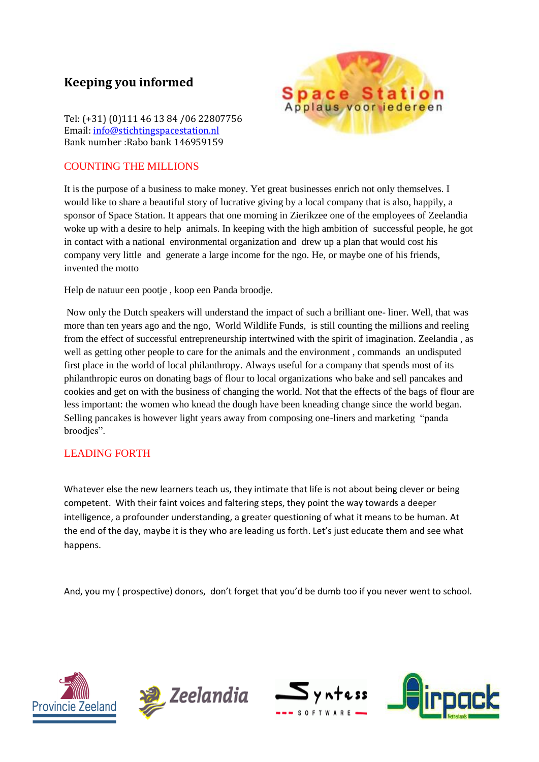Tel: (+31) (0)111 46 13 84 /06 22807756 Email: info@stichtingspacestation.nl Bank number :Rabo bank 146959159

#### COUNTING THE MILLIONS



It is the purpose of a business to make money. Yet great businesses enrich not only themselves. I would like to share a beautiful story of lucrative giving by a local company that is also, happily, a sponsor of Space Station. It appears that one morning in Zierikzee one of the employees of Zeelandia woke up with a desire to help animals. In keeping with the high ambition of successful people, he got in contact with a national environmental organization and drew up a plan that would cost his company very little and generate a large income for the ngo. He, or maybe one of his friends, invented the motto

Help de natuur een pootje , koop een Panda broodje.

Now only the Dutch speakers will understand the impact of such a brilliant one- liner. Well, that was more than ten years ago and the ngo, World Wildlife Funds, is still counting the millions and reeling from the effect of successful entrepreneurship intertwined with the spirit of imagination. Zeelandia , as well as getting other people to care for the animals and the environment , commands an undisputed first place in the world of local philanthropy. Always useful for a company that spends most of its philanthropic euros on donating bags of flour to local organizations who bake and sell pancakes and cookies and get on with the business of changing the world. Not that the effects of the bags of flour are less important: the women who knead the dough have been kneading change since the world began. Selling pancakes is however light years away from composing one-liners and marketing "panda broodjes".

### LEADING FORTH

Whatever else the new learners teach us, they intimate that life is not about being clever or being competent. With their faint voices and faltering steps, they point the way towards a deeper intelligence, a profounder understanding, a greater questioning of what it means to be human. At the end of the day, maybe it is they who are leading us forth. Let's just educate them and see what happens.

And, you my ( prospective) donors, don't forget that you'd be dumb too if you never went to school.